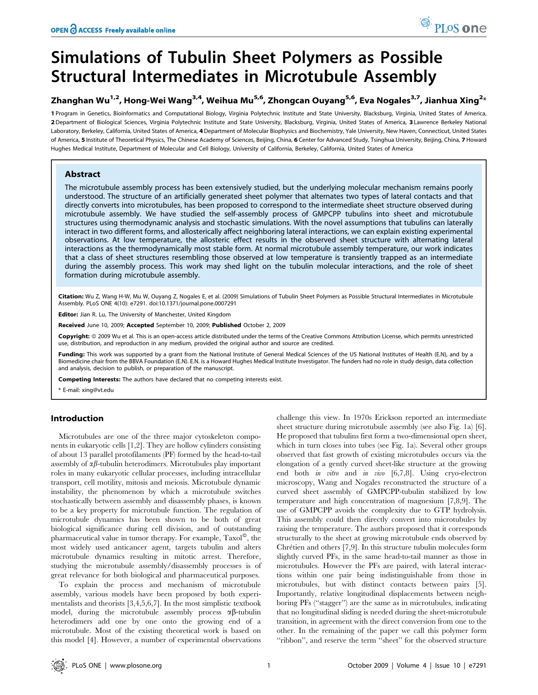# Simulations of Tubulin Sheet Polymers as Possible Structural Intermediates in Microtubule Assembly

## Zhanghan Wu<sup>1,2</sup>, Hong-Wei Wang<sup>3,4</sup>, Weihua Mu<sup>5,6</sup>, Zhongcan Ouyang<sup>5,6</sup>, Eva Nogales<sup>3,7</sup>, Jianhua Xing<sup>2</sup>\*

1 Program in Genetics, Bioinformatics and Computational Biology, Virginia Polytechnic Institute and State University, Blacksburg, Virginia, United States of America, 2 Department of Biological Sciences, Virginia Polytechnic Institute and State University, Blacksburg, Virginia, United States of America, 3 Lawrence Berkeley National Laboratory, Berkeley, California, United States of America, 4 Department of Molecular Biophysics and Biochemistry, Yale University, New Haven, Connecticut, United States of America, 5 Institute of Theoretical Physics, The Chinese Academy of Sciences, Beijing, China, 6 Center for Advanced Study, Tsinghua University, Beijing, China, 7 Howard Hughes Medical Institute, Department of Molecular and Cell Biology, University of California, Berkeley, California, United States of America

## Abstract

The microtubule assembly process has been extensively studied, but the underlying molecular mechanism remains poorly understood. The structure of an artificially generated sheet polymer that alternates two types of lateral contacts and that directly converts into microtubules, has been proposed to correspond to the intermediate sheet structure observed during microtubule assembly. We have studied the self-assembly process of GMPCPP tubulins into sheet and microtubule structures using thermodynamic analysis and stochastic simulations. With the novel assumptions that tubulins can laterally interact in two different forms, and allosterically affect neighboring lateral interactions, we can explain existing experimental observations. At low temperature, the allosteric effect results in the observed sheet structure with alternating lateral interactions as the thermodynamically most stable form. At normal microtubule assembly temperature, our work indicates that a class of sheet structures resembling those observed at low temperature is transiently trapped as an intermediate during the assembly process. This work may shed light on the tubulin molecular interactions, and the role of sheet formation during microtubule assembly.

Citation: Wu Z, Wang H-W, Mu W, Ouyang Z, Nogales E, et al. (2009) Simulations of Tubulin Sheet Polymers as Possible Structural Intermediates in Microtubule Assembly. PLoS ONE 4(10): e7291. doi:10.1371/journal.pone.0007291

Editor: Jian R. Lu, The University of Manchester, United Kingdom

Received June 10, 2009; Accepted September 10, 2009; Published October 2, 2009

Copyright: @ 2009 Wu et al. This is an open-access article distributed under the terms of the Creative Commons Attribution License, which permits unrestricted use, distribution, and reproduction in any medium, provided the original author and source are credited.

Funding: This work was supported by a grant from the National Institute of General Medical Sciences of the US National Institutes of Health (E.N), and by a Biomedicine chair from the BBVA Foundation (E.N). E.N. is a Howard Hughes Medical Institute Investigator. The funders had no role in study design, data collection and analysis, decision to publish, or preparation of the manuscript.

Competing Interests: The authors have declared that no competing interests exist.

\* E-mail: xing@vt.edu

## Introduction

Microtubules are one of the three major cytoskeleton components in eukaryotic cells [1,2]. They are hollow cylinders consisting of about 13 parallel protofilaments (PF) formed by the head-to-tail assembly of  $\alpha\beta$ -tubulin heterodimers. Microtubules play important roles in many eukaryotic cellular processes, including intracellular transport, cell motility, mitosis and meiosis. Microtubule dynamic instability, the phenomenon by which a microtubule switches stochastically between assembly and disassembly phases, is known to be a key property for microtubule function. The regulation of microtubule dynamics has been shown to be both of great biological significance during cell division, and of outstanding pharmaceutical value in tumor therapy. For example, Taxol®, the most widely used anticancer agent, targets tubulin and alters microtubule dynamics resulting in mitotic arrest. Therefore, studying the microtubule assembly/disassembly processes is of great relevance for both biological and pharmaceutical purposes.

To explain the process and mechanism of microtubule assembly, various models have been proposed by both experimentalists and theorists [3,4,5,6,7]. In the most simplistic textbook model, during the microtubule assembly process  $\alpha\beta$ -tubulin heterodimers add one by one onto the growing end of a microtubule. Most of the existing theoretical work is based on this model [4]. However, a number of experimental observations challenge this view. In 1970s Erickson reported an intermediate sheet structure during microtubule assembly (see also Fig. 1a) [6]. He proposed that tubulins first form a two-dimensional open sheet, which in turn closes into tubes (see Fig. 1a). Several other groups observed that fast growth of existing microtubules occurs via the elongation of a gently curved sheet-like structure at the growing end both *in vitro* and *in vivo* [6,7,8]. Using cryo-electron microscopy, Wang and Nogales reconstructed the structure of a curved sheet assembly of GMPCPP-tubulin stabilized by low temperature and high concentration of magnesium [7,8,9]. The use of GMPCPP avoids the complexity due to GTP hydrolysis. This assembly could then directly convert into microtubules by raising the temperature. The authors proposed that it corresponds structurally to the sheet at growing microtubule ends observed by Chrétien and others  $[7,9]$ . In this structure tubulin molecules form slightly curved PFs, in the same head-to-tail manner as those in microtubules. However the PFs are paired, with lateral interactions within one pair being indistinguishable from those in microtubules, but with distinct contacts between pairs [5]. Importantly, relative longitudinal displacements between neighboring PFs (''stagger'') are the same as in microtubules, indicating that no longitudinal sliding is needed during the sheet-microtubule transition, in agreement with the direct conversion from one to the other. In the remaining of the paper we call this polymer form ''ribbon'', and reserve the term ''sheet'' for the observed structure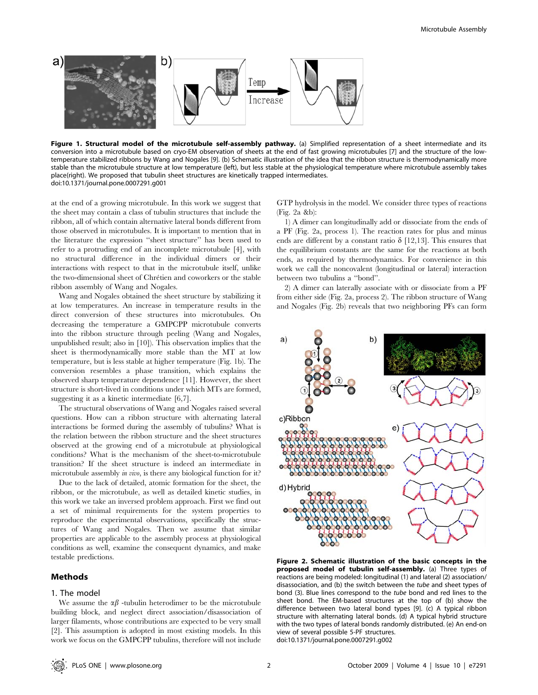

Figure 1. Structural model of the microtubule self-assembly pathway. (a) Simplified representation of a sheet intermediate and its conversion into a microtubule based on cryo-EM observation of sheets at the end of fast growing microtubules [7] and the structure of the lowtemperature stabilized ribbons by Wang and Nogales [9]. (b) Schematic illustration of the idea that the ribbon structure is thermodynamically more stable than the microtubule structure at low temperature (left), but less stable at the physiological temperature where microtubule assembly takes place(right). We proposed that tubulin sheet structures are kinetically trapped intermediates. doi:10.1371/journal.pone.0007291.g001

at the end of a growing microtubule. In this work we suggest that the sheet may contain a class of tubulin structures that include the ribbon, all of which contain alternative lateral bonds different from those observed in microtubules. It is important to mention that in the literature the expression ''sheet structure'' has been used to refer to a protruding end of an incomplete microtubule [4], with no structural difference in the individual dimers or their interactions with respect to that in the microtubule itself, unlike the two-dimensional sheet of Chrétien and coworkers or the stable ribbon assembly of Wang and Nogales.

Wang and Nogales obtained the sheet structure by stabilizing it at low temperatures. An increase in temperature results in the direct conversion of these structures into microtubules. On decreasing the temperature a GMPCPP microtubule converts into the ribbon structure through peeling (Wang and Nogales, unpublished result; also in [10]). This observation implies that the sheet is thermodynamically more stable than the MT at low temperature, but is less stable at higher temperature (Fig. 1b). The conversion resembles a phase transition, which explains the observed sharp temperature dependence [11]. However, the sheet structure is short-lived in conditions under which MTs are formed, suggesting it as a kinetic intermediate [6,7].

The structural observations of Wang and Nogales raised several questions. How can a ribbon structure with alternating lateral interactions be formed during the assembly of tubulins? What is the relation between the ribbon structure and the sheet structures observed at the growing end of a microtubule at physiological conditions? What is the mechanism of the sheet-to-microtubule transition? If the sheet structure is indeed an intermediate in microtubule assembly *in vivo*, is there any biological function for it?

Due to the lack of detailed, atomic formation for the sheet, the ribbon, or the microtubule, as well as detailed kinetic studies, in this work we take an inversed problem approach. First we find out a set of minimal requirements for the system properties to reproduce the experimental observations, specifically the structures of Wang and Nogales. Then we assume that similar properties are applicable to the assembly process at physiological conditions as well, examine the consequent dynamics, and make testable predictions.

#### Methods

#### 1. The model

We assume the  $\alpha\beta$  -tubulin heterodimer to be the microtubule building block, and neglect direct association/disassociation of larger filaments, whose contributions are expected to be very small [2]. This assumption is adopted in most existing models. In this work we focus on the GMPCPP tubulins, therefore will not include

GTP hydrolysis in the model. We consider three types of reactions (Fig. 2a &b):

1) A dimer can longitudinally add or dissociate from the ends of a PF (Fig. 2a, process 1). The reaction rates for plus and minus ends are different by a constant ratio  $\delta$  [12,13]. This ensures that the equilibrium constants are the same for the reactions at both ends, as required by thermodynamics. For convenience in this work we call the noncovalent (longitudinal or lateral) interaction between two tubulins a ''bond''.

2) A dimer can laterally associate with or dissociate from a PF from either side (Fig. 2a, process 2). The ribbon structure of Wang and Nogales (Fig. 2b) reveals that two neighboring PFs can form



Figure 2. Schematic illustration of the basic concepts in the proposed model of tubulin self-assembly. (a) Three types of reactions are being modeled: longitudinal (1) and lateral (2) association/ disassociation, and (b) the switch between the tube and sheet types of bond (3). Blue lines correspond to the tube bond and red lines to the sheet bond. The EM-based structures at the top of (b) show the difference between two lateral bond types [9]. (c) A typical ribbon structure with alternating lateral bonds. (d) A typical hybrid structure with the two types of lateral bonds randomly distributed. (e) An end-on view of several possible 5-PF structures. doi:10.1371/journal.pone.0007291.g002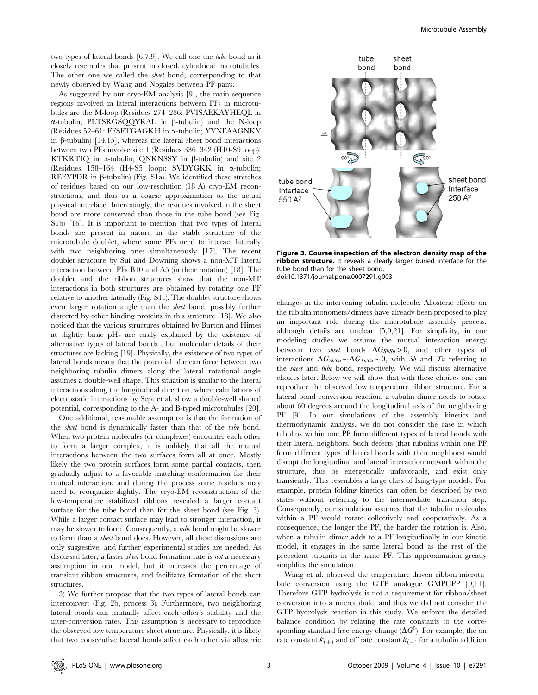two types of lateral bonds [6,7,9]. We call one the tube bond as it closely resembles that present in closed, cylindrical microtubules. The other one we called the *sheet* bond, corresponding to that newly observed by Wang and Nogales between PF pairs.

As suggested by our cryo-EM analysis [9], the main sequence regions involved in lateral interactions between PFs in microtubules are the M-loop (Residues 274–286: PVISAEKAYHEQL in  $\alpha$ -tubulin; PLTSRGSQQYRAL in  $\beta$ -tubulin) and the N-loop (Residues 52–61: FFSETGAGKH in a-tubulin; YYNEAAGNKY in  $\beta$ -tubulin) [14,15], whereas the lateral sheet bond interactions between two PFs involve site 1 (Residues 336–342 (H10-S9 loop): KTKRTIQ in  $\alpha$ -tubulin; QNKNSSY in  $\beta$ -tubulin) and site 2 (Residues 158–164 (H4-S5 loop): SVDYGKK in a-tubulin; REEYPDR in  $\beta$ -tubulin) (Fig. S1a). We identified these stretches of residues based on our low-resolution  $(18 \text{ Å})$  cryo-EM reconstructions, and thus as a coarse approximation to the actual physical interface. Interestingly, the residues involved in the sheet bond are more conserved than those in the tube bond (see Fig. S1b) [16]. It is important to mention that two types of lateral bonds are present in nature in the stable structure of the microtubule doublet, where some PFs need to interact laterally with two neighboring ones simultaneously [17]. The recent doublet structure by Sui and Downing shows a non-MT lateral interaction between PFs B10 and A5 (in their notation) [18]. The doublet and the ribbon structures show that the non-MT interactions in both structures are obtained by rotating one PF relative to another laterally (Fig. S1c). The doublet structure shows even larger rotation angle than the sheet bond, possibly further distorted by other binding proteins in this structure [18]. We also noticed that the various structures obtained by Burton and Himes at slightly basic pHs are easily explained by the existence of alternative types of lateral bonds , but molecular details of their structures are lacking [19]. Physically, the existence of two types of lateral bonds means that the potential of mean force between two neighboring tubulin dimers along the lateral rotational angle assumes a double-well shape. This situation is similar to the lateral interactions along the longitudinal direction, where calculations of electrostatic interactions by Sept et al. show a double-well shaped potential, corresponding to the A- and B-typed microtubules [20].

One additional, reasonable assumption is that the formation of the sheet bond is dynamically faster than that of the tube bond. When two protein molecules (or complexes) encounter each other to form a larger complex, it is unlikely that all the mutual interactions between the two surfaces form all at once. Mostly likely the two protein surfaces form some partial contacts, then gradually adjust to a favorable matching conformation for their mutual interaction, and during the process some residues may need to reorganize slightly. The cryo-EM reconstruction of the low-temperature stabilized ribbons revealed a larger contact surface for the tube bond than for the sheet bond (see Fig. 3). While a larger contact surface may lead to stronger interaction, it may be slower to form. Consequently, a tube bond might be slower to form than a sheet bond does. However, all these discussions are only suggestive, and further experimental studies are needed. As discussed later, a faster sheet bond formation rate is not a necessary assumption in our model, but it increases the percentage of transient ribbon structures, and facilitates formation of the sheet structures.

3) We further propose that the two types of lateral bonds can interconvert (Fig. 2b, process 3). Furthermore, two neighboring lateral bonds can mutually affect each other's stability and the inter-conversion rates. This assumption is necessary to reproduce the observed low temperature sheet structure. Physically, it is likely that two consecutive lateral bonds affect each other via allosteric



Figure 3. Course inspection of the electron density map of the ribbon structure. It reveals a clearly larger buried interface for the tube bond than for the sheet bond. doi:10.1371/journal.pone.0007291.g003

changes in the intervening tubulin molecule. Allosteric effects on the tubulin monomers/dimers have already been proposed to play an important role during the microtubule assembly process, although details are unclear [5,9,21]. For simplicity, in our modeling studies we assume the mutual interaction energy between two *sheet* bonds  $\Delta G_{ShSh} > 0$ , and other types of interactions  $\Delta G_{ShTu} \sim \Delta G_{TuTu} \sim 0$ , with Sh and Tu referring to the sheet and tube bond, respectively. We will discuss alternative choices later. Below we will show that with these choices one can reproduce the observed low temperature ribbon structure. For a lateral bond conversion reaction, a tubulin dimer needs to rotate about 60 degrees around the longitudinal axis of the neighboring PF [9]. In our simulations of the assembly kinetics and thermodynamic analysis, we do not consider the case in which tubulins within one PF form different types of lateral bonds with their lateral neighbors. Such defects (that tubulins within one PF form different types of lateral bonds with their neighbors) would disrupt the longitudinal and lateral interaction network within the structure, thus be energetically unfavorable, and exist only transiently. This resembles a large class of Ising-type models. For example, protein folding kinetics can often be described by two states without referring to the intermediate transition step. Consequently, our simulation assumes that the tubulin molecules within a PF would rotate collectively and cooperatively. As a consequence, the longer the PF, the harder the rotation is. Also, when a tubulin dimer adds to a PF longitudinally in our kinetic model, it engages in the same lateral bond as the rest of the precedent subunits in the same PF. This approximation greatly simplifies the simulation.

Wang et al. observed the temperature-driven ribbon-microtubule conversion using the GTP analogue GMPCPP [9,11]. Therefore GTP hydrolysis is not a requirement for ribbon/sheet conversion into a microtubule, and thus we did not consider the GTP hydrolysis reaction in this study. We enforce the detailed balance condition by relating the rate constants to the corresponding standard free energy change  $(\Delta G^0)$ . For example, the on rate constant  $k_{(+)}$  and off rate constant  $k_{(-)}$  for a tubulin addition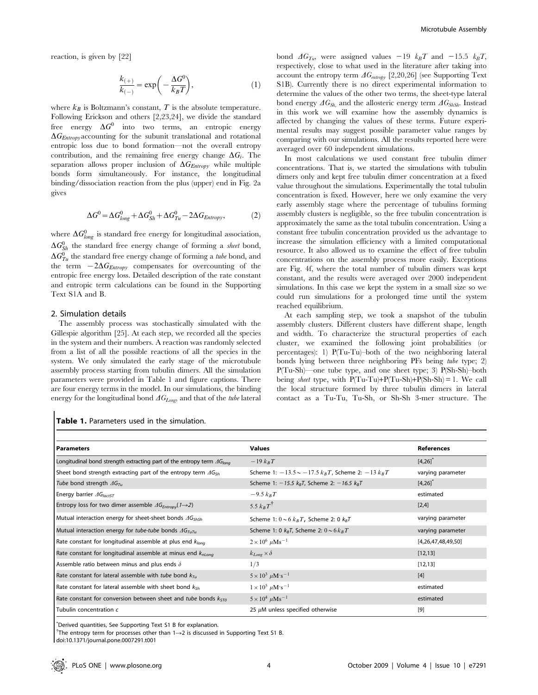reaction, is given by [22]

$$
\frac{k_{(+)}}{k_{(-)}} = \exp\bigg(-\frac{\Delta G^0}{k_B T}\bigg),\tag{1}
$$

where  $k_B$  is Boltzmann's constant, T is the absolute temperature. Following Erickson and others [2,23,24], we divide the standard free energy  $\Delta G^0$  into two terms, an entropic energy  $\Delta G_{Entropy}$  accounting for the subunit translational and rotational entropic loss due to bond formation—not the overall entropy contribution, and the remaining free energy change  $\Delta G_i$ . The separation allows proper inclusion of  $\Delta G_{Entropy}$  while multiple bonds form simultaneously. For instance, the longitudinal binding/dissociation reaction from the plus (upper) end in Fig. 2a gives

$$
\Delta G^0 = \Delta G^0_{long} + \Delta G^0_{Sh} + \Delta G^0_{Tu} - 2\Delta G_{Entropy}, \tag{2}
$$

where  $\Delta G_{long}^0$  is standard free energy for longitudinal association,  $\Delta G_{Sh}^0$  the standard free energy change of forming a *sheet* bond,  $\Delta G_{Tu}^0$  the standard free energy change of forming a *tube* bond, and the term  $-2\Delta G_{Entropy}$  compensates for overcounting of the entropic free energy loss. Detailed description of the rate constant and entropic term calculations can be found in the Supporting Text S1A and B.

#### 2. Simulation details

The assembly process was stochastically simulated with the Gillespie algorithm [25]. At each step, we recorded all the species in the system and their numbers. A reaction was randomly selected from a list of all the possible reactions of all the species in the system. We only simulated the early stage of the microtubule assembly process starting from tubulin dimers. All the simulation parameters were provided in Table 1 and figure captions. There are four energy terms in the model. In our simulations, the binding energy for the longitudinal bond  $\Delta G_{Long}$ , and that of the tube lateral bond  $\Delta G_{Tw}$ , were assigned values -19  $k_BT$  and -15.5  $k_BT$ , respectively, close to what used in the literature after taking into account the entropy term  $\Delta G_{entropy}$  [2,20,26] (see Supporting Text S1B). Currently there is no direct experimental information to determine the values of the other two terms, the sheet-type lateral bond energy  $\Delta G_{\text{S}h}$  and the allosteric energy term  $\Delta G_{\text{S}h,\text{S}h}$ . Instead in this work we will examine how the assembly dynamics is affected by changing the values of these terms. Future experimental results may suggest possible parameter value ranges by comparing with our simulations. All the results reported here were averaged over 60 independent simulations.

In most calculations we used constant free tubulin dimer concentrations. That is, we started the simulations with tubulin dimers only and kept free tubulin dimer concentration at a fixed value throughout the simulations. Experimentally the total tubulin concentration is fixed. However, here we only examine the very early assembly stage where the percentage of tubulins forming assembly clusters is negligible, so the free tubulin concentration is approximately the same as the total tubulin concentration. Using a constant free tubulin concentration provided us the advantage to increase the simulation efficiency with a limited computational resource. It also allowed us to examine the effect of free tubulin concentrations on the assembly process more easily. Exceptions are Fig. 4f, where the total number of tubulin dimers was kept constant, and the results were averaged over 2000 independent simulations. In this case we kept the system in a small size so we could run simulations for a prolonged time until the system reached equilibrium.

At each sampling step, we took a snapshot of the tubulin assembly clusters. Different clusters have different shape, length and width. To characterize the structural properties of each cluster, we examined the following joint probabilities (or percentages): 1) P(Tu-Tu)–both of the two neighboring lateral bonds lying between three neighboring PFs being tube type; 2) P(Tu-Sh)—one tube type, and one sheet type; 3) P(Sh-Sh)–both being *sheet* type, with  $P(Tu-Tu)+P(Tu-Sh)+P(Sh-Sh) = 1$ . We call the local structure formed by three tubulin dimers in lateral contact as a Tu-Tu, Tu-Sh, or Sh-Sh 3-mer structure. The

| Table 1. Parameters used in the simulation. |  |
|---------------------------------------------|--|
|---------------------------------------------|--|

| <b>Parameters</b>                                                                | Values                                                     | <b>References</b>     |
|----------------------------------------------------------------------------------|------------------------------------------------------------|-----------------------|
| Longitudinal bond strength extracting part of the entropy term $\Delta G_{long}$ | $-19k_BT$                                                  | $[4,26]$ <sup>*</sup> |
| Sheet bond strength extracting part of the entropy term $\Delta G_{5h}$          | Scheme 1: $-13.5 \sim -17.5 k_B T$ , Scheme 2: $-13 k_B T$ | varying parameter     |
| Tube bond strength $\Delta G_{\tau U}$                                           | Scheme 1: $-15.5$ $k_B T$ , Scheme 2: $-16.5$ $k_B T$      | $[4,26]$ <sup>*</sup> |
| Energy barrier $\Delta G_{lactST}$                                               | $-9.5 k_B T$                                               | estimated             |
| Entropy loss for two dimer assemble $\Delta G_{Entropy}(1\rightarrow 2)$         | 5.5 $k_BT$ <sup>†</sup>                                    | $[2,4]$               |
| Mutual interaction energy for sheet-sheet bonds $\Delta G_{\text{ShSh}}$         | Scheme 1: $0 \sim 6 k_B T$ , Scheme 2: 0 $k_B T$           | varying parameter     |
| Mutual interaction energy for tube-tube bonds $\Delta G_{T \mu T \mu}$           | Scheme 1: 0 $k_B T$ , Scheme 2: $0 \sim 6 k_B T$           | varying parameter     |
| Rate constant for longitudinal assemble at plus end klong                        | $2 \times 10^6 \ \mu \text{Ms}^{-1}$                       | [4,26,47,48,49,50]    |
| Rate constant for longitudinal assemble at minus end $k_{n\text{Lona}}$          | $k_{Long} \times \delta$                                   | [12, 13]              |
| Assemble ratio between minus and plus ends $\delta$                              | 1/3                                                        | [12, 13]              |
| Rate constant for lateral assemble with tube bond $k_{\tau u}$                   | $5 \times 10^3 \ \mu M \ s^{-1}$                           | $[4]$                 |
| Rate constant for lateral assemble with sheet bond $k_{5h}$                      | $1 \times 10^5 \mu M$ s <sup>-1</sup>                      | estimated             |
| Rate constant for conversion between sheet and tube bonds $k_{570}$              | $5 \times 10^4 \mu M s^{-1}$                               | estimated             |
| Tubulin concentration c                                                          | 25 $\mu$ M unless specified otherwise                      | $[9]$                 |

\* Derived quantities, See Supporting Text S1 B for explanation.

<sup>†</sup>The entropy term for processes other than  $1\rightarrow 2$  is discussed in Supporting Text S1 B.

doi:10.1371/journal.pone.0007291.t001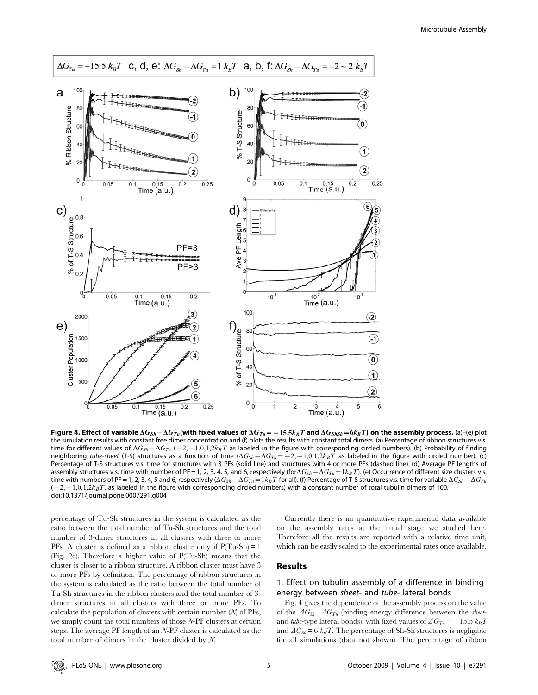

Figure 4. Effect of variable  $\Delta G_{Sh} - \Delta G_{Tu}$  (with fixed values of  $\Delta G_{Tu} = -15.5k_BT$  and  $\Delta G_{ShSh} = 6k_BT$ ) on the assembly process. (a)–(e) plot the simulation results with constant free dimer concentration and (f) plots the results with constant total dimers. (a) Percentage of ribbon structures v.s. time for different values of  $\Delta G_{Sh} - \Delta G_{Tu}$  (-2,-1,0,1,2kBT as labeled in the figure with corresponding circled numbers). (b) Probability of finding neighboring tube-sheet (T-S) structures as a function of time  $(\Delta G_{S h}-\Delta G_{Tu}=-2,-1,0,1,2k_BT$  as labeled in the figure with circled number). (c) Percentage of T-S structures v.s. time for structures with 3 PFs (solid line) and structures with 4 or more PFs (dashed line). (d) Average PF lengths of assembly structures v.s. time with number of PF = 1, 2, 3, 4, 5, and 6, respectively (for $\Delta G_{Sh} - \Delta G_{Tu} = 1k_BT$ ). (e) Occurrence of different size clusters v.s. time with numbers of PF = 1, 2, 3, 4, 5 and 6, respectively ( $\Delta G_{Sh} - \Delta G_{Tu} = 1k_BT$  for all). (f) Percentage of T-S structures v.s. time for variable  $\Delta G_{Sh} - \Delta G_{Tu}$  $(-2,-1,0,1,2k_BT)$ , as labeled in the figure with corresponding circled numbers) with a constant number of total tubulin dimers of 100. doi:10.1371/journal.pone.0007291.g004

percentage of Tu-Sh structures in the system is calculated as the ratio between the total number of Tu-Sh structures and the total number of 3-dimer structures in all clusters with three or more PFs. A cluster is defined as a ribbon cluster only if  $P(Tu-Sh) = 1$ (Fig. 2c). Therefore a higher value of P(Tu-Sh) means that the cluster is closer to a ribbon structure. A ribbon cluster must have 3 or more PFs by definition. The percentage of ribbon structures in the system is calculated as the ratio between the total number of Tu-Sh structures in the ribbon clusters and the total number of 3 dimer structures in all clusters with three or more PFs. To calculate the population of clusters with certain number  $(N)$  of  $PFs$ , we simply count the total numbers of those N-PF clusters at certain steps. The average PF length of an N-PF cluster is calculated as the total number of dimers in the cluster divided by  $N$ .

Currently there is no quantitative experimental data available on the assembly rates at the initial stage we studied here. Therefore all the results are reported with a relative time unit, which can be easily scaled to the experimental rates once available.

### Results

## 1. Effect on tubulin assembly of a difference in binding energy between sheet- and tube- lateral bonds

Fig. 4 gives the dependence of the assembly process on the value of the  $\Delta G_{Sh} - \Delta G_{Tu}$  (binding energy difference between the sheetand tube-type lateral bonds), with fixed values of  $\Delta G_{Tu}$  = -15.5  $k_B T$ and  $\Delta G_{\text{Sh}}$  = 6  $k_B T$ . The percentage of Sh-Sh structures is negligible for all simulations (data not shown). The percentage of ribbon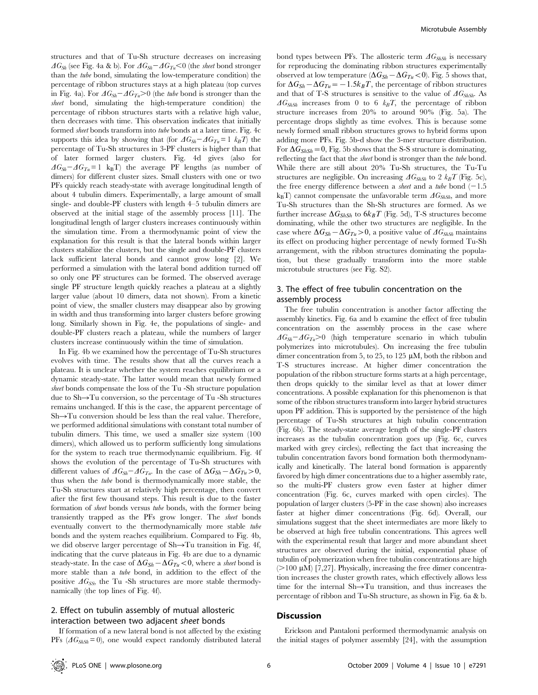structures and that of Tu-Sh structure decreases on increasing  $\Delta G_{\text{Sh}}$  (see Fig. 4a & b). For  $\Delta G_{\text{Sh}}-\Delta G_{\text{Tu}}<0$  (the sheet bond stronger than the tube bond, simulating the low-temperature condition) the percentage of ribbon structures stays at a high plateau (top curves in Fig. 4a). For  $\Delta G_{\text{Sb}} - \Delta G_{\text{Tu}} > 0$  (the tube bond is stronger than the sheet bond, simulating the high-temperature condition) the percentage of ribbon structures starts with a relative high value, then decreases with time. This observation indicates that initially formed sheet bonds transform into tube bonds at a later time. Fig. 4c supports this idea by showing that (for  $\Delta G_{\text{S}h} - \Delta G_{\text{T}u} = 1$  k<sub>B</sub>T) the percentage of Tu-Sh structures in 3-PF clusters is higher than that of later formed larger clusters. Fig. 4d gives (also for  $\Delta G_{\text{S}h} - \Delta G_{\text{T}u} = 1$  k<sub>B</sub>T) the average PF lengths (as number of dimers) for different cluster sizes. Small clusters with one or two PFs quickly reach steady-state with average longitudinal length of about 4 tubulin dimers. Experimentally, a large amount of small single- and double-PF clusters with length 4–5 tubulin dimers are observed at the initial stage of the assembly process [11]. The longitudinal length of larger clusters increases continuously within the simulation time. From a thermodynamic point of view the explanation for this result is that the lateral bonds within larger clusters stabilize the clusters, but the single and double-PF clusters lack sufficient lateral bonds and cannot grow long [2]. We performed a simulation with the lateral bond addition turned off so only one PF structures can be formed. The observed average single PF structure length quickly reaches a plateau at a slightly larger value (about 10 dimers, data not shown). From a kinetic point of view, the smaller clusters may disappear also by growing in width and thus transforming into larger clusters before growing long. Similarly shown in Fig. 4e, the populations of single- and double-PF clusters reach a plateau, while the numbers of larger clusters increase continuously within the time of simulation.

In Fig. 4b we examined how the percentage of Tu-Sh structures evolves with time. The results show that all the curves reach a plateau. It is unclear whether the system reaches equilibrium or a dynamic steady-state. The latter would mean that newly formed sheet bonds compensate the loss of the Tu -Sh structure population due to  $Sh \rightarrow Tu$  conversion, so the percentage of Tu -Sh structures remains unchanged. If this is the case, the apparent percentage of  $Sh \rightarrow Tu$  conversion should be less than the real value. Therefore, we performed additional simulations with constant total number of tubulin dimers. This time, we used a smaller size system (100 dimers), which allowed us to perform sufficiently long simulations for the system to reach true thermodynamic equilibrium. Fig. 4f shows the evolution of the percentage of Tu-Sh structures with different values of  $\Delta G_{\text{S}_h} - \Delta G_{\text{T}_u}$ . In the case of  $\Delta G_{\text{S}_h} - \Delta G_{\text{T}_u} > 0$ , thus when the tube bond is thermodynamically more stable, the Tu-Sh structures start at relatively high percentage, then convert after the first few thousand steps. This result is due to the faster formation of sheet bonds versus tube bonds, with the former being transiently trapped as the PFs grow longer. The sheet bonds eventually convert to the thermodynamically more stable tube bonds and the system reaches equilibrium. Compared to Fig. 4b, we did observe larger percentage of Sh $\rightarrow$ Tu transition in Fig. 4f, indicating that the curve plateaus in Fig. 4b are due to a dynamic steady-state. In the case of  $\Delta G_{Sh} - \Delta G_{Tu} < 0$ , where a sheet bond is more stable than a tube bond, in addition to the effect of the positive  $\Delta G_{SS}$ , the Tu -Sh structures are more stable thermodynamically (the top lines of Fig. 4f).

## 2. Effect on tubulin assembly of mutual allosteric interaction between two adjacent sheet bonds

If formation of a new lateral bond is not affected by the existing PFs  $(\Delta G_{ShSh}= 0)$ , one would expect randomly distributed lateral

bond types between PFs. The allosteric term  $\Delta G_{ShSh}$  is necessary for reproducing the dominating ribbon structures experimentally observed at low temperature  $(\Delta G_{Sh} - \Delta G_{Tu} < 0)$ . Fig. 5 shows that, for  $\Delta G_{\text{Sh}} - \Delta G_{\text{Tu}} = -1.5k_BT$ , the percentage of ribbon structures and that of T-S structures is sensitive to the value of  $\Delta G_{ShSh}$ . As  $\Delta G_{ShSh}$  increases from 0 to 6  $k_BT$ , the percentage of ribbon structure increases from 20% to around 90% (Fig. 5a). The percentage drops slightly as time evolves. This is because some newly formed small ribbon structures grows to hybrid forms upon adding more PFs. Fig. 5b-d show the 3-mer structure distribution. For  $\Delta G_{ShSh} = 0$ , Fig. 5b shows that the S-S structure is dominating, reflecting the fact that the sheet bond is stronger than the tube bond. While there are still about 20% Tu-Sh structures, the Tu-Tu structures are negligible. On increasing  $\Delta G_{ShSh}$  to 2  $k_BT$  (Fig. 5c), the free energy difference between a *sheet* and a *tube* bond  $(-1.5$  $k_BT$ ) cannot compensate the unfavorable term  $\Delta G_{ShSh}$ , and more Tu-Sh structures than the Sh-Sh structures are formed. As we further increase  $\Delta G_{ShSh}$  to  $6k_BT$  (Fig. 5d), T-S structures become dominating, while the other two structures are negligible. In the case where  $\Delta G_{Sh} - \Delta G_{Tu} > 0$ , a positive value of  $\Delta G_{ShSh}$  maintains its effect on producing higher percentage of newly formed Tu-Sh arrangement, with the ribbon structures dominating the population, but these gradually transform into the more stable microtubule structures (see Fig. S2).

## 3. The effect of free tubulin concentration on the assembly process

The free tubulin concentration is another factor affecting the assembly kinetics. Fig. 6a and b examine the effect of free tubulin concentration on the assembly process in the case where  $\Delta G_{\text{Sh}} - \Delta G_{\text{Tu}} > 0$  (high temperature scenario in which tubulin polymerizes into microtubules). On increasing the free tubulin dimer concentration from 5, to 25, to 125  $\mu$ M, both the ribbon and T-S structures increase. At higher dimer concentration the population of the ribbon structure forms starts at a high percentage, then drops quickly to the similar level as that at lower dimer concentrations. A possible explanation for this phenomenon is that some of the ribbon structures transform into larger hybrid structures upon PF addition. This is supported by the persistence of the high percentage of Tu-Sh structures at high tubulin concentration (Fig. 6b). The steady-state average length of the single-PF clusters increases as the tubulin concentration goes up (Fig. 6c, curves marked with grey circles), reflecting the fact that increasing the tubulin concentration favors bond formation both thermodynamically and kinetically. The lateral bond formation is apparently favored by high dimer concentrations due to a higher assembly rate, so the multi-PF clusters grow even faster at higher dimer concentration (Fig. 6c, curves marked with open circles). The population of larger clusters (5-PF in the case shown) also increases faster at higher dimer concentrations (Fig. 6d). Overall, our simulations suggest that the sheet intermediates are more likely to be observed at high free tubulin concentrations. This agrees well with the experimental result that larger and more abundant sheet structures are observed during the initial, exponential phase of tubulin of polymerization when free tubulin concentrations are high  $(>100 \mu M)$  [7,27]. Physically, increasing the free dimer concentration increases the cluster growth rates, which effectively allows less time for the internal  $\text{Sh}\rightarrow\text{T}$ u transition, and thus increases the percentage of ribbon and Tu-Sh structure, as shown in Fig. 6a & b.

#### **Discussion**

Erickson and Pantaloni performed thermodynamic analysis on the initial stages of polymer assembly [24], with the assumption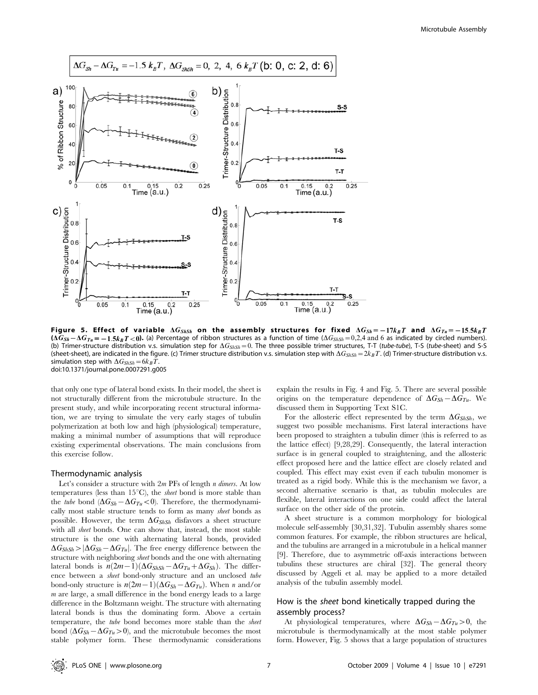

Figure 5. Effect of variable  $\Delta G_{ShSh}$  on the assembly structures for fixed  $\Delta G_{Sh}=-17k_BT$  and  $\Delta G_{Tu}=-15.5k_BT$  $(\Delta G_{Sh}-\Delta G_{Tu}=-1.5k_BT<0)$ . (a) Percentage of ribbon structures as a function of time ( $\Delta G_{ShSh}=0.2,4$  and 6 as indicated by circled numbers). (b) Trimer-structure distribution v.s. simulation step for  $\Delta G_{ShSh} = 0$ . The three possible trimer structures, T-T (tube-tube), T-S (tube-sheet) and S-S (sheet-sheet), are indicated in the figure. (c) Trimer structure distribution v.s. simulation step with  $\Delta G_{ShSh} = 2k_BT$ . (d) Trimer-structure distribution v.s. simulation step with  $\Delta G_{ShSh} = 6k_BT$ . doi:10.1371/journal.pone.0007291.g005

that only one type of lateral bond exists. In their model, the sheet is not structurally different from the microtubule structure. In the present study, and while incorporating recent structural information, we are trying to simulate the very early stages of tubulin polymerization at both low and high (physiological) temperature, making a minimal number of assumptions that will reproduce existing experimental observations. The main conclusions from this exercise follow.

#### Thermodynamic analysis

Let's consider a structure with  $2m$  PFs of length *n dimers*. At low temperatures (less than  $15^{\circ}$ C), the *sheet* bond is more stable than the tube bond  $(\Delta G_{\text{S}h} - \Delta G_{\text{Tu}} < 0)$ . Therefore, the thermodynamically most stable structure tends to form as many sheet bonds as possible. However, the term  $\Delta G_{ShSh}$  disfavors a sheet structure with all *sheet* bonds. One can show that, instead, the most stable structure is the one with alternating lateral bonds, provided  $\Delta G_{ShSh}$   $> |\Delta G_{Sh} - \Delta G_{Tu}|$ . The free energy difference between the structure with neighboring sheet bonds and the one with alternating lateral bonds is  $n(2m-1)(\Delta G_{ShSh}-\Delta G_{Tu}+\Delta G_{Sh})$ . The difference between a sheet bond-only structure and an unclosed tube bond-only structure is  $n(2m-1)(\Delta G_{Sh} - \Delta G_{Tu})$ . When n and/or m are large, a small difference in the bond energy leads to a large difference in the Boltzmann weight. The structure with alternating lateral bonds is thus the dominating form. Above a certain temperature, the tube bond becomes more stable than the sheet bond  $(\Delta G_{\text{Sh}} - \Delta G_{\text{Tu}} > 0)$ , and the microtubule becomes the most stable polymer form. These thermodynamic considerations explain the results in Fig. 4 and Fig. 5. There are several possible origins on the temperature dependence of  $\Delta G_{\text{Sh}} - \Delta G_{\text{Tu}}$ . We discussed them in Supporting Text S1C.

For the allosteric effect represented by the term  $\Delta G_{ShSh}$ , we suggest two possible mechanisms. First lateral interactions have been proposed to straighten a tubulin dimer (this is referred to as the lattice effect) [9,28,29]. Consequently, the lateral interaction surface is in general coupled to straightening, and the allosteric effect proposed here and the lattice effect are closely related and coupled. This effect may exist even if each tubulin monomer is treated as a rigid body. While this is the mechanism we favor, a second alternative scenario is that, as tubulin molecules are flexible, lateral interactions on one side could affect the lateral surface on the other side of the protein.

A sheet structure is a common morphology for biological molecule self-assembly [30,31,32]. Tubulin assembly shares some common features. For example, the ribbon structures are helical, and the tubulins are arranged in a microtubule in a helical manner [9]. Therefore, due to asymmetric off-axis interactions between tubulins these structures are chiral [32]. The general theory discussed by Aggeli et al. may be applied to a more detailed analysis of the tubulin assembly model.

## How is the sheet bond kinetically trapped during the assembly process?

At physiological temperatures, where  $\Delta G_{Sh} - \Delta G_{Tu} > 0$ , the microtubule is thermodynamically at the most stable polymer form. However, Fig. 5 shows that a large population of structures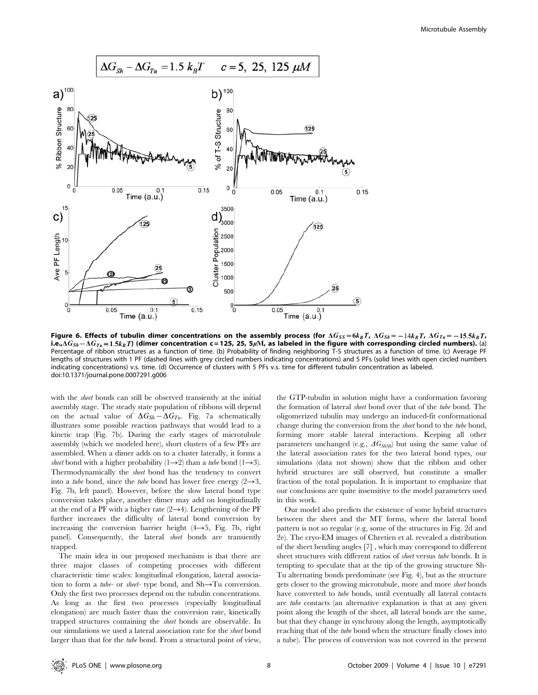

Figure 6. Effects of tubulin dimer concentrations on the assembly process (for  $\Delta G_{SS} = 6k_BT$ ,  $\Delta G_{Sh} = -14k_BT$ ,  $\Delta G_{Tu} = -15.5k_BT$ , i.e., $\Delta G_{Sh} - \Delta G_{Tu} = 1.5k_BT$ ) (dimer concentration c = 125, 25, 5µM, as labeled in the figure with corresponding circled numbers). (a) Percentage of ribbon structures as a function of time. (b) Probability of finding neighboring T-S structures as a function of time. (c) Average PF lengths of structures with 1 PF (dashed lines with grey circled numbers indicating concentrations) and 5 PFs (solid lines with open circled numbers indicating concentrations) v.s. time. (d) Occurrence of clusters with 5 PFs v.s. time for different tubulin concentration as labeled. doi:10.1371/journal.pone.0007291.g006

with the sheet bonds can still be observed transiently at the initial assembly stage. The steady state population of ribbons will depend on the actual value of  $\Delta G_{Sh} - \Delta G_{Tu}$ . Fig. 7a schematically illustrates some possible reaction pathways that would lead to a kinetic trap (Fig. 7b). During the early stages of microtubule assembly (which we modeled here), short clusters of a few PFs are assembled. When a dimer adds on to a cluster laterally, it forms a sheet bond with a higher probability  $(1\rightarrow 2)$  than a tube bond  $(1\rightarrow 3)$ . Thermodynamically the sheet bond has the tendency to convert into a *tube* bond, since the *tube* bond has lower free energy  $(2\rightarrow 3,$ Fig. 7b, left panel). However, before the slow lateral bond type conversion takes place, another dimer may add on longitudinally at the end of a PF with a higher rate  $(2\rightarrow 4)$ . Lengthening of the PF further increases the difficulty of lateral bond conversion by increasing the conversion barrier height  $(4 \rightarrow 5,$  Fig. 7b, right panel). Consequently, the lateral sheet bonds are transiently trapped.

The main idea in our proposed mechanism is that there are three major classes of competing processes with different characteristic time scales: longitudinal elongation, lateral association to form a *tube-* or *sheet-* type bond, and  $Sh \rightarrow Tu$  conversion. Only the first two processes depend on the tubulin concentrations. As long as the first two processes (especially longitudinal elongation) are much faster than the conversion rate, kinetically trapped structures containing the sheet bonds are observable. In our simulations we used a lateral association rate for the sheet bond larger than that for the tube bond. From a structural point of view,

the GTP-tubulin in solution might have a conformation favoring the formation of lateral sheet bond over that of the tube bond. The oligomerized tubulin may undergo an induced-fit conformational change during the conversion from the *sheet* bond to the *tube* bond, forming more stable lateral interactions. Keeping all other parameters unchanged (e.g.,  $\Delta G_{ShSh}$ ) but using the same value of the lateral association rates for the two lateral bond types, our simulations (data not shown) show that the ribbon and other hybrid structures are still observed, but constitute a smaller fraction of the total population. It is important to emphasize that our conclusions are quite insensitive to the model parameters used in this work.

Our model also predicts the existence of some hybrid structures between the sheet and the MT forms, where the lateral bond pattern is not so regular (e.g, some of the structures in Fig. 2d and 2e). The cryo-EM images of Chretien et al. revealed a distribution of the sheet bending angles [7] , which may correspond to different sheet structures with different ratios of sheet versus tube bonds. It is tempting to speculate that at the tip of the growing structure Sh-Tu alternating bonds predominate (see Fig. 4), but as the structure gets closer to the growing microtubule, more and more sheet bonds have converted to tube bonds, until eventually all lateral contacts are tube contacts (an alternative explanation is that at any given point along the length of the sheet, all lateral bonds are the same, but that they change in synchrony along the length, asymptotically reaching that of the tube bond when the structure finally closes into a tube). The process of conversion was not covered in the present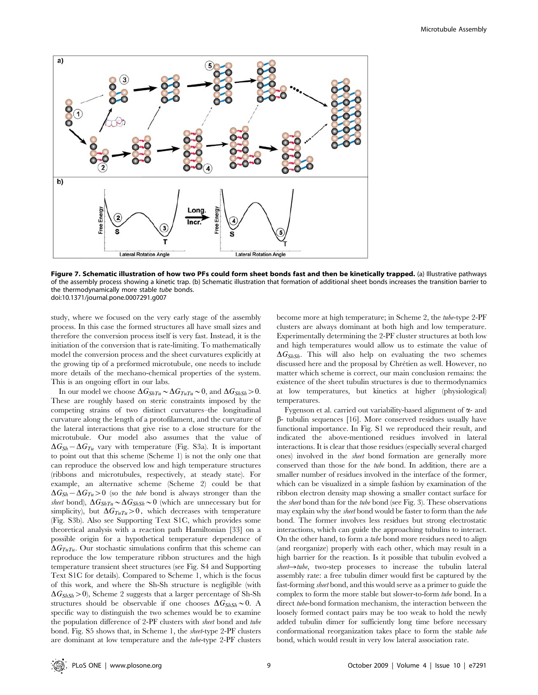

Figure 7. Schematic illustration of how two PFs could form sheet bonds fast and then be kinetically trapped. (a) Illustrative pathways of the assembly process showing a kinetic trap. (b) Schematic illustration that formation of additional sheet bonds increases the transition barrier to the thermodynamically more stable tube bonds. doi:10.1371/journal.pone.0007291.g007

study, where we focused on the very early stage of the assembly process. In this case the formed structures all have small sizes and therefore the conversion process itself is very fast. Instead, it is the initiation of the conversion that is rate-limiting. To mathematically model the conversion process and the sheet curvatures explicitly at the growing tip of a preformed microtubule, one needs to include more details of the mechano-chemical properties of the system. This is an ongoing effort in our labs.

In our model we choose  $\Delta G_{ShTu} \sim \Delta G_{TuTu} \sim 0$ , and  $\Delta G_{ShSh}>0.$ These are roughly based on steric constraints imposed by the competing strains of two distinct curvatures–the longitudinal curvature along the length of a protofilament, and the curvature of the lateral interactions that give rise to a close structure for the microtubule. Our model also assumes that the value of  $\Delta G_{Sh} - \Delta G_{Tu}$  vary with temperature (Fig. S3a). It is important to point out that this scheme (Scheme 1) is not the only one that can reproduce the observed low and high temperature structures (ribbons and microtubules, respectively, at steady state). For example, an alternative scheme (Scheme 2) could be that  $\Delta G_{\text{Sh}} - \Delta G_{\text{Tu}} > 0$  (so the *tube* bond is always stronger than the sheet bond),  $\Delta G_{ShTu} \sim \Delta G_{ShSh} \sim 0$  (which are unnecessary but for simplicity), but  $\Delta G_{TuTu} > 0$ , which decreases with temperature (Fig. S3b). Also see Supporting Text S1C, which provides some theoretical analysis with a reaction path Hamiltonian [33] on a possible origin for a hypothetical temperature dependence of  $\Delta G_{TuTu}$ . Our stochastic simulations confirm that this scheme can reproduce the low temperature ribbon structures and the high temperature transient sheet structures (see Fig. S4 and Supporting Text S1C for details). Compared to Scheme 1, which is the focus of this work, and where the Sh-Sh structure is negligible (with  $\Delta G_{ShSh} > 0$ ), Scheme 2 suggests that a larger percentage of Sh-Sh structures should be observable if one chooses  $\Delta G_{ShSh} \sim 0$ . A specific way to distinguish the two schemes would be to examine the population difference of 2-PF clusters with sheet bond and tube bond. Fig. S5 shows that, in Scheme 1, the sheet-type 2-PF clusters are dominant at low temperature and the tube-type 2-PF clusters

become more at high temperature; in Scheme 2, the tube-type 2-PF clusters are always dominant at both high and low temperature. Experimentally determining the 2-PF cluster structures at both low and high temperatures would allow us to estimate the value of  $\Delta G_{ShSh}$ . This will also help on evaluating the two schemes discussed here and the proposal by Chrétien as well. However, no matter which scheme is correct, our main conclusion remains: the existence of the sheet tubulin structures is due to thermodynamics at low temperatures, but kinetics at higher (physiological) temperatures.

Fygenson et al. carried out variability-based alignment of  $\alpha$ - and b- tubulin sequences [16]. More conserved residues usually have functional importance. In Fig. S1 we reproduced their result, and indicated the above-mentioned residues involved in lateral interactions. It is clear that those residues (especially several charged ones) involved in the sheet bond formation are generally more conserved than those for the tube bond. In addition, there are a smaller number of residues involved in the interface of the former, which can be visualized in a simple fashion by examination of the ribbon electron density map showing a smaller contact surface for the sheet bond than for the tube bond (see Fig. 3). These observations may explain why the sheet bond would be faster to form than the tube bond. The former involves less residues but strong electrostatic interactions, which can guide the approaching tubulins to interact. On the other hand, to form a tube bond more residues need to align (and reorganize) properly with each other, which may result in a high barrier for the reaction. Is it possible that tubulin evolved a  $sheet{\rightarrow} tube,$  two-step processes to increase the tubulin lateral assembly rate: a free tubulin dimer would first be captured by the fast-forming sheet bond, and this would serve as a primer to guide the complex to form the more stable but slower-to-form tube bond. In a direct tube-bond formation mechanism, the interaction between the loosely formed contact pairs may be too weak to hold the newly added tubulin dimer for sufficiently long time before necessary conformational reorganization takes place to form the stable tube bond, which would result in very low lateral association rate.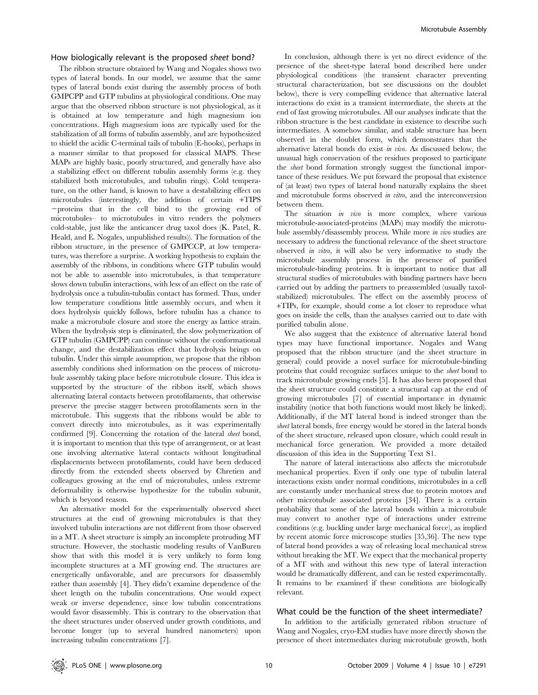#### How biologically relevant is the proposed sheet bond?

The ribbon structure obtained by Wang and Nogales shows two types of lateral bonds. In our model, we assume that the same types of lateral bonds exist during the assembly process of both GMPCPP and GTP tubulins at physiological conditions. One may argue that the observed ribbon structure is not physiological, as it is obtained at low temperature and high magnesium ion concentrations. High magnesium ions are typically used for the stabilization of all forms of tubulin assembly, and are hypothesized to shield the acidic C-terminal tails of tubulin (E-hooks), perhaps in a manner similar to that proposed for classical MAPS. These MAPs are highly basic, poorly structured, and generally have also a stabilizing effect on different tubulin assembly forms (e.g. they stabilized both microtubules, and tubulin rings). Cold temperature, on the other hand, is known to have a destabilizing effect on microtubules (interestingly, the addition of certain +TIPS -proteins that in the cell bind to the growing end of microtubules– to microtubules in vitro renders the polymers cold-stable, just like the anticancer drug taxol does (K. Patel, R. Heald, and E. Nogales, unpublished results)). The formation of the ribbon structure, in the presence of GMPCCP, at low temperatures, was therefore a surprise. A working hypothesis to explain the assembly of the ribbons, in conditions where GTP tubulin would not be able to assemble into microtubules, is that temperature slows down tubulin interactions, with less of an effect on the rate of hydrolysis once a tubulin-tubulin contact has formed. Thus, under low temperature conditions little assembly occurs, and when it does hydrolysis quickly follows, before tubulin has a chance to make a microtubule closure and store the energy as lattice strain. When the hydrolysis step is eliminated, the slow polymerization of GTP tubulin (GMPCPP) can continue without the conformational change, and the destabilization effect that hydrolysis brings on tubulin. Under this simple assumption, we propose that the ribbon assembly conditions shed information on the process of microtubule assembly taking place before microtubule closure. This idea is supported by the structure of the ribbon itself, which shows alternating lateral contacts between protofilaments, that otherwise preserve the precise stagger between protofilaments seen in the microtubule. This suggests that the ribbons would be able to convert directly into microtubules, as it was experimentally confirmed [9]. Concerning the rotation of the lateral sheet bond, it is important to mention that this type of arrangement, or at least one involving alternative lateral contacts without longitudinal displacements between protofilaments, could have been deduced directly from the extended sheets observed by Chretien and colleagues growing at the end of microtubules, unless extreme deformability is otherwise hypothesize for the tubulin subunit, which is beyond reason.

An alternative model for the experimentally observed sheet structures at the end of growning microtubules is that they involved tubulin interactions are not different from those observed in a MT. A sheet structure is simply an incomplete protruding MT structure. However, the stochastic modeling results of VanBuren show that with this model it is very unlikely to form long incomplete structures at a MT growing end. The structures are energetically unfavorable, and are precursors for disassembly rather than assembly [4]. They didn't examine dependence of the sheet length on the tubulin concentrations. One would expect weak or inverse dependence, since low tubulin concentrations would favor disassembly. This is contrary to the observation that the sheet structures under observed under growth conditions, and become longer (up to several hundred nanometers) upon increasing tubulin concentrations [7].

In conclusion, although there is yet no direct evidence of the presence of the sheet-type lateral bond described here under physiological conditions (the transient character preventing structural characterization, but see discussions on the doublet below), there is very compelling evidence that alternative lateral interactions do exist in a transient intermediate, the sheets at the end of fast growing microtubules. All our analyses indicate that the ribbon structure is the best candidate in existence to describe such intermediates. A somehow similar, and stable structure has been observed in the doublet form, which demonstrates that the alternative lateral bonds do exist in vivo. As discussed below, the unusual high conservation of the residues proposed to participate the sheet bond formation strongly suggest the functional importance of these residues. We put forward the proposal that existence of (at least) two types of lateral bond naturally explains the sheet and microtubule forms observed in vitro, and the interconversion between them.

The situation in vivo is more complex, where various microtubule-associated-proteins (MAPs) may modify the microtubule assembly/disassembly process. While more in vivo studies are necessary to address the functional relevance of the sheet structure observed in vitro, it will also be very informative to study the microtubule assembly process in the presence of purified microtubule-binding proteins. It is important to notice that all structural studies of microtubules with binding partners have been carried out by adding the partners to preassembled (usually taxolstabilized) microtubules. The effect on the assembly process of +TIPs, for example, should come a lot closer to reproduce what goes on inside the cells, than the analyses carried out to date with purified tubulin alone.

We also suggest that the existence of alternative lateral bond types may have functional importance. Nogales and Wang proposed that the ribbon structure (and the sheet structure in general) could provide a novel surface for microtubule-binding proteins that could recognize surfaces unique to the sheet bond to track microtubule growing ends [5]. It has also been proposed that the sheet structure could constitute a structural cap at the end of growing microtubules [7] of essential importance in dynamic instability (notice that both functions would most likely be linked). Additionally, if the MT lateral bond is indeed stronger than the sheet lateral bonds, free energy would be stored in the lateral bonds of the sheet structure, released upon closure, which could result in mechanical force generation. We provided a more detailed discussion of this idea in the Supporting Text S1.

The nature of lateral interactions also affects the microtubule mechanical properties. Even if only one type of tubulin lateral interactions exists under normal conditions, microtubules in a cell are constantly under mechanical stress due to protein motors and other microtubule associated proteins [34]. There is a certain probability that some of the lateral bonds within a microtubule may convert to another type of interactions under extreme conditions (e.g. buckling under large mechanical force), as implied by recent atomic force microscope studies [35,36]. The new type of lateral bond provides a way of releasing local mechanical stress without breaking the MT. We expect that the mechanical property of a MT with and without this new type of lateral interaction would be dramatically different, and can be tested experimentally. It remains to be examined if these conditions are biologically relevant.

#### What could be the function of the sheet intermediate?

In addition to the artificially generated ribbon structure of Wang and Nogales, cryo-EM studies have more directly shown the presence of sheet intermediates during microtubule growth, both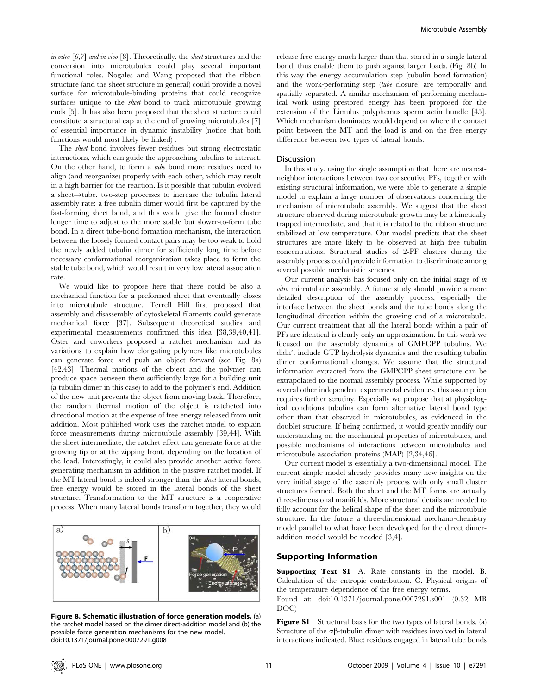in vitro [6,7] and in vivo [8]. Theoretically, the sheet structures and the conversion into microtubules could play several important functional roles. Nogales and Wang proposed that the ribbon structure (and the sheet structure in general) could provide a novel surface for microtubule-binding proteins that could recognize surfaces unique to the *sheet* bond to track microtubule growing ends [5]. It has also been proposed that the sheet structure could constitute a structural cap at the end of growing microtubules [7] of essential importance in dynamic instability (notice that both functions would most likely be linked) .

The sheet bond involves fewer residues but strong electrostatic interactions, which can guide the approaching tubulins to interact. On the other hand, to form a tube bond more residues need to align (and reorganize) properly with each other, which may result in a high barrier for the reaction. Is it possible that tubulin evolved a sheet $\rightarrow$ tube, two-step processes to increase the tubulin lateral assembly rate: a free tubulin dimer would first be captured by the fast-forming sheet bond, and this would give the formed cluster longer time to adjust to the more stable but slower-to-form tube bond. In a direct tube-bond formation mechanism, the interaction between the loosely formed contact pairs may be too weak to hold the newly added tubulin dimer for sufficiently long time before necessary conformational reorganization takes place to form the stable tube bond, which would result in very low lateral association rate.

We would like to propose here that there could be also a mechanical function for a preformed sheet that eventually closes into microtubule structure. Terrell Hill first proposed that assembly and disassembly of cytoskeletal filaments could generate mechanical force [37]. Subsequent theoretical studies and experimental measurements confirmed this idea [38,39,40,41]. Oster and coworkers proposed a ratchet mechanism and its variations to explain how elongating polymers like microtubules can generate force and push an object forward (see Fig. 8a) [42,43]. Thermal motions of the object and the polymer can produce space between them sufficiently large for a building unit (a tubulin dimer in this case) to add to the polymer's end. Addition of the new unit prevents the object from moving back. Therefore, the random thermal motion of the object is ratcheted into directional motion at the expense of free energy released from unit addition. Most published work uses the ratchet model to explain force measurements during microtubule assembly [39,44]. With the sheet intermediate, the ratchet effect can generate force at the growing tip or at the zipping front, depending on the location of the load. Interestingly, it could also provide another active force generating mechanism in addition to the passive ratchet model. If the MT lateral bond is indeed stronger than the sheet lateral bonds, free energy would be stored in the lateral bonds of the sheet structure. Transformation to the MT structure is a cooperative process. When many lateral bonds transform together, they would

release free energy much larger than that stored in a single lateral bond, thus enable them to push against larger loads. (Fig. 8b) In this way the energy accumulation step (tubulin bond formation) and the work-performing step (tube closure) are temporally and spatially separated. A similar mechanism of performing mechanical work using prestored energy has been proposed for the extension of the Limulus polyphemus sperm actin bundle [45]. Which mechanism dominates would depend on where the contact point between the MT and the load is and on the free energy difference between two types of lateral bonds.

#### Discussion

In this study, using the single assumption that there are nearestneighbor interactions between two consecutive PFs, together with existing structural information, we were able to generate a simple model to explain a large number of observations concerning the mechanism of microtubule assembly. We suggest that the sheet structure observed during microtubule growth may be a kinetically trapped intermediate, and that it is related to the ribbon structure stabilized at low temperature. Our model predicts that the sheet structures are more likely to be observed at high free tubulin concentrations. Structural studies of 2-PF clusters during the assembly process could provide information to discriminate among several possible mechanistic schemes.

Our current analysis has focused only on the initial stage of  $\dot{m}$ vitro microtubule assembly. A future study should provide a more detailed description of the assembly process, especially the interface between the sheet bonds and the tube bonds along the longitudinal direction within the growing end of a microtubule. Our current treatment that all the lateral bonds within a pair of PFs are identical is clearly only an approximation. In this work we focused on the assembly dynamics of GMPCPP tubulins. We didn't include GTP hydrolysis dynamics and the resulting tubulin dimer conformational changes. We assume that the structural information extracted from the GMPCPP sheet structure can be extrapolated to the normal assembly process. While supported by several other independent experimental evidences, this assumption requires further scrutiny. Especially we propose that at physiological conditions tubulins can form alternative lateral bond type other than that observed in microtubules, as evidenced in the doublet structure. If being confirmed, it would greatly modify our understanding on the mechanical properties of microtubules, and possible mechanisms of interactions between microtubules and microtubule association proteins (MAP) [2,34,46].

Our current model is essentially a two-dimensional model. The current simple model already provides many new insights on the very initial stage of the assembly process with only small cluster structures formed. Both the sheet and the MT forms are actually three-dimensional manifolds. More structural details are needed to fully account for the helical shape of the sheet and the microtubule structure. In the future a three-dimensional mechano-chemistry model parallel to what have been developed for the direct dimeraddition model would be needed [3,4].

#### Supporting Information

Supporting Text S1 A. Rate constants in the model. B. Calculation of the entropic contribution. C. Physical origins of the temperature dependence of the free energy terms. Found at: doi:10.1371/journal.pone.0007291.s001 (0.32 MB

Figure 8. Schematic illustration of force generation models. (a) the ratchet model based on the dimer direct-addition model and (b) the possible force generation mechanisms for the new model. doi:10.1371/journal.pone.0007291.g008

 $_{\rm b}$ )

Figure S1 Structural basis for the two types of lateral bonds. (a) Structure of the  $\alpha\beta$ -tubulin dimer with residues involved in lateral interactions indicated. Blue: residues engaged in lateral tube bonds

 $\mathbf{a}$ 

DOC)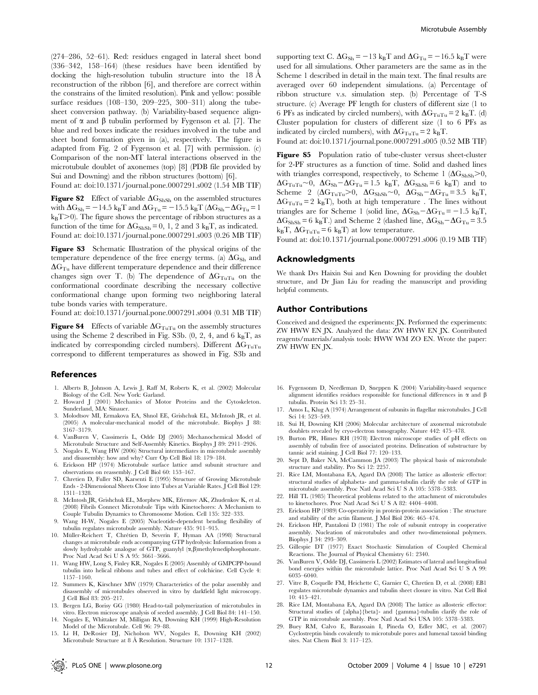(274–286, 52–61). Red: residues engaged in lateral sheet bond (336–342, 158–164) (these residues have been identified by docking the high-resolution tubulin structure into the  $18 \text{ Å}$ reconstruction of the ribbon [6], and therefore are correct within the constrains of the limited resolution). Pink and yellow: possible surface residues (108–130, 209–225, 300–311) along the tubesheet conversion pathway. (b) Variability-based sequence alignment of  $\alpha$  and  $\beta$  tubulin performed by Fygenson et al. [7]. The blue and red boxes indicate the residues involved in the tube and sheet bond formation given in (a), respectively. The figure is adapted from Fig. 2 of Fygenson et al. [7] with permission. (c) Comparison of the non-MT lateral interactions observed in the microtubule doublet of axonemes (top) [8] (PDB file provided by Sui and Downing) and the ribbon structures (bottom) [6].

Found at: doi:10.1371/journal.pone.0007291.s002 (1.54 MB TIF)

**Figure S2** Effect of variable  $\Delta G_{\text{ShSh}}$  on the assembled structures with  $\Delta G_{\text{Sh}} = -14.5 \text{ kgT}$  and  $\Delta G_{\text{Th}} = -15.5 \text{ kgT} (\Delta G_{\text{Sh}} - \Delta G_{\text{Th}} = 1$  $k_BT>0$ ). The figure shows the percentage of ribbon structures as a function of the time for  $\Delta G_{\text{ShSh}}= 0, 1, 2$  and 3 k<sub>B</sub>T, as indicated. Found at: doi:10.1371/journal.pone.0007291.s003 (0.26 MB TIF)

Figure S3 Schematic Illustration of the physical origins of the temperature dependence of the free energy terms. (a)  $\Delta G_{\text{Sh}}$  and  $\Delta G_{Tu}$  have different temperature dependence and their difference changes sign over T. (b) The dependence of  $\Delta G_{TuTu}$  on the conformational coordinate describing the necessary collective conformational change upon forming two neighboring lateral tube bonds varies with temperature.

Found at: doi:10.1371/journal.pone.0007291.s004 (0.31 MB TIF)

**Figure S4** Effects of variable  $\Delta G_{\text{Tu}}$  on the assembly structures using the Scheme 2 described in Fig. S3b.  $(0, 2, 4, \text{ and } 6 \text{ kgT}, \text{ as }$ indicated by corresponding circled numbers). Different  $\Delta G_{\text{Tu}Tu}$ correspond to different temperatures as showed in Fig. S3b and

#### References

- 1. Alberts B, Johnson A, Lewis J, Raff M, Roberts K, et al. (2002) Molecular Biology of the Cell. New York: Garland.
- 2. Howard J (2001) Mechanics of Motor Proteins and the Cytoskeleton. Sunderland, MA: Sinauer.
- 3. Molodtsov MI, Ermakova EA, Shnol EE, Grishchuk EL, McIntosh JR, et al. (2005) A molecular-mechanical model of the microtubule. Biophys J 88: 3167–3179.
- 4. VanBuren V, Cassimeris L, Odde DJ (2005) Mechanochemical Model of Microtubule Structure and Self-Assembly Kinetics. Biophys J 89: 2911–2926.
- 5. Nogales E, Wang HW (2006) Structural intermediates in microtubule assembly and disassembly: how and why? Curr Op Cell Biol 18: 179–184.
- 6. Erickson HP (1974) Microtubule surface lattice amd subunit structure and observations on reassembly. J Cell Biol 60: 153–167.
- 7. Chretien D, Fuller SD, Karsenti E (1995) Structure of Growing Microtubule Ends - 2-Dimensional Sheets Close into Tubes at Variable Rates. J Cell Biol 129: 1311–1328.
- 8. McIntosh JR, Grishchuk EL, Morphew MK, Efremov AK, Zhudenkov K, et al. (2008) Fibrils Connect Microtubule Tips with Kinetochores: A Mechanism to Couple Tubulin Dynamics to Chromosome Motion. Cell 135: 322–333.
- 9. Wang H-W, Nogales E (2005) Nucleotide-dependent bending flexibility of tubulin regulates microtubule assembly. Nature 435: 911–915.
- 10. Müller-Reichert T, Chrétien D, Severin F, Hyman AA (1998) Structural changes at microtubule ends accompanying GTP hydrolysis: Information from a slowly hydrolyzable analogue of GTP, guanylyl  $(\alpha, \beta)$ methylenediphosphonate. Proc Natl Acad Sci U S A 95: 3661–3666.
- 11. Wang HW, Long S, Finley KR, Nogales E (2005) Assembly of GMPCPP-bound tubulin into helical ribbons and tubes and effect of colchicine. Cell Cycle 4: 1157–1160.
- 12. Summers K, Kirschner MW (1979) Characteristics of the polar assembly and disassembly of microtubules observed in vitro by darkfield light microscopy. J Cell Biol 83: 205–217.
- 13. Bergen LG, Borisy GG (1980) Head-to-tail polymerization of microtubules in vitro. Electron microscope analysis of seeded assembly. J Cell Biol 84: 141–150.
- 14. Nogales E, Whittaker M, Milligan RA, Downing KH (1999) High-Resolution Model of the Microtubule. Cell 96: 79–88.
- 15. Li H, DeRosier DJ, Nicholson WV, Nogales E, Downing KH (2002) Microtubule Structure at 8 A˚ Resolution. Structure 10: 1317–1328.

supporting text C.  $\Delta G_{\text{Sh}} = -13 \text{ kgT}$  and  $\Delta G_{\text{Tu}} = -16.5 \text{ kgT}$  were used for all simulations. Other parameters are the same as in the Scheme 1 described in detail in the main text. The final results are averaged over 60 independent simulations. (a) Percentage of ribbon structure v.s. simulation step. (b) Percentage of T-S structure. (c) Average PF length for clusters of different size (1 to 6 PFs as indicated by circled numbers), with  $\Delta G_{\text{Tu}Tu} = 2 \text{ kgT}$ . (d) Cluster population for clusters of different size (1 to 6 PFs as indicated by circled numbers), with  $\Delta G_{\text{Tu}} = 2 \text{ kgT}$ . Found at: doi:10.1371/journal.pone.0007291.s005 (0.52 MB TIF)

Figure S5 Population ratio of tube-cluster versus sheet-cluster for 2-PF structures as a function of time. Solid and dashed lines with triangles correspond, respectively, to Scheme 1  $(\Delta G_{\rm ShSh} > 0,$  $\Delta G_{\text{Tu}}$   $\sim$  0,  $\Delta G_{\text{Sh}} - \Delta G_{\text{Tu}} = 1.5$  k<sub>B</sub>T,  $\Delta G_{\text{Sh}} = 6$  k<sub>B</sub>T) and to Scheme 2  $(\Delta G_{\text{Tu}Tu} > 0, \Delta G_{\text{Shsh}} \sim 0, \Delta G_{\text{Sh}} - \Delta G_{\text{Tu}} = 3.5 \text{ kgT},$  $\Delta G_{\text{TuTu}}=2 \text{ kgT}$ , both at high temperature . The lines without triangles are for Scheme 1 (solid line,  $\Delta G_{\text{Sh}} - \Delta G_{\text{Tu}} = -1.5 \text{ kgT}$ ,  $\Delta G_{\text{ShSh}}=6 \text{ kgT}$ .) and Scheme 2 (dashed line,  $\Delta G_{\text{Sh}}-\Delta G_{\text{Tu}}= 3.5$  $k_BT$ ,  $\Delta G_{\text{TuTu}}=6$   $k_BT$ ) at low temperature.

Found at: doi:10.1371/journal.pone.0007291.s006 (0.19 MB TIF)

#### Acknowledgments

We thank Drs Haixin Sui and Ken Downing for providing the doublet structure, and Dr Jian Liu for reading the manuscript and providing helpful comments.

#### Author Contributions

Conceived and designed the experiments: JX. Performed the experiments: ZW HWW EN JX. Analyzed the data: ZW HWW EN JX. Contributed reagents/materials/analysis tools: HWW WM ZO EN. Wrote the paper: ZW HWW EN JX.

- 16. Fygensonm D, Needleman D, Sneppen K (2004) Variability-based sequence alignment identifies residues responsible for functional differences in  $\alpha$  and  $\beta$ tubulin. Protein Sci 13: 25–31.
- 17. Amos L, Klug A (1974) Arrangement of subunits in flagellar microtubules. J Cell Sci 14: 523–549.
- 18. Sui H, Downing KH (2006) Molecular architecture of axonemal microtubule doublets revealed by cryo-electron tomography. Nature 442: 475–478.
- 19. Burton PR, Himes RH (1978) Electron microscope studies of pH effects on assembly of tubulin free of associated proteins. Delineation of substructure by tannic acid staining. J Cell Biol 77: 120–133.
- 20. Sept D, Baker NA, McCammon JA (2003) The physical basis of microtubule structure and stability. Pro Sci 12: 2257.
- 21. Rice LM, Montabana EA, Agard DA (2008) The lattice as allosteric effector: structural studies of alphabeta- and gamma-tubulin clarify the role of GTP in microtubule assembly. Proc Natl Acad Sci U S A 105: 5378–5383.
- 22. Hill TL (1985) Theoretical problems related to the attachment of microtubules to kinetochores. Proc Natl Acad Sci U S A 82: 4404–4408.
- 23. Erickson HP (1989) Co-operativity in protein-protein association : The structure and stability of the actin filament. J Mol Biol 206: 465–474.
- 24. Erickson HP, Pantaloni D (1981) The role of subunit entropy in cooperative assembly. Nucleation of microtubules and other two-dimensional polymers. Biophys J 34: 293–309.
- 25. Gillespie DT (1977) Exact Stochastic Simulation of Coupled Chemical Reactions. The Journal of Physical Chemistry 61: 2340.
- 26. VanBuren V, Odde DJ, Cassimeris L (2002) Estimates of lateral and longitudinal bond energies within the microtubule lattice. Proc Natl Acad Sci U S A 99: 6035–6040.
- 27. Vitre B, Coquelle FM, Heichette C, Garnier C, Chretien D, et al. (2008) EB1 regulates microtubule dynamics and tubulin sheet closure in vitro. Nat Cell Biol 10: 415–421.
- 28. Rice LM, Montabana EA, Agard DA (2008) The lattice as allosteric effector: Structural studies of {alpha}{beta}- and {gamma}-tubulin clarify the role of GTP in microtubule assembly. Proc Natl Acad Sci USA 105: 5378–5383.
- 29. Buey RM, Calvo E, Barasoain I, Pineda O, Edler MC, et al. (2007) Cyclostreptin binds covalently to microtubule pores and lumenal taxoid binding sites. Nat Chem Biol 3: 117–125.